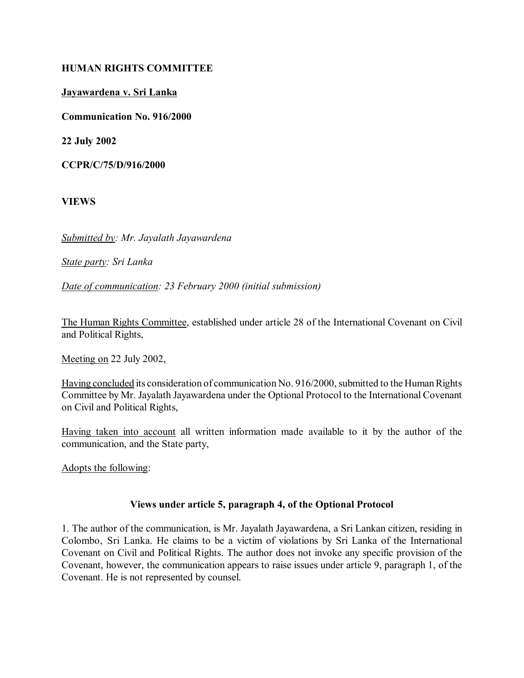#### **HUMAN RIGHTS COMMITTEE**

#### **Jayawardena v. Sri Lanka**

**Communication No. 916/2000**

**22 July 2002**

**CCPR/C/75/D/916/2000**

**VIEWS**

*Submitted by: Mr. Jayalath Jayawardena* 

*State party: Sri Lanka* 

*Date of communication: 23 February 2000 (initial submission)*

The Human Rights Committee, established under article 28 of the International Covenant on Civil and Political Rights,

Meeting on 22 July 2002,

Having concluded its consideration of communication No. 916/2000, submitted to the Human Rights Committee by Mr. Jayalath Jayawardena under the Optional Protocol to the International Covenant on Civil and Political Rights,

Having taken into account all written information made available to it by the author of the communication, and the State party,

Adopts the following:

#### **Views under article 5, paragraph 4, of the Optional Protocol**

1. The author of the communication, is Mr. Jayalath Jayawardena, a Sri Lankan citizen, residing in Colombo, Sri Lanka. He claims to be a victim of violations by Sri Lanka of the International Covenant on Civil and Political Rights. The author does not invoke any specific provision of the Covenant, however, the communication appears to raise issues under article 9, paragraph 1, of the Covenant. He is not represented by counsel.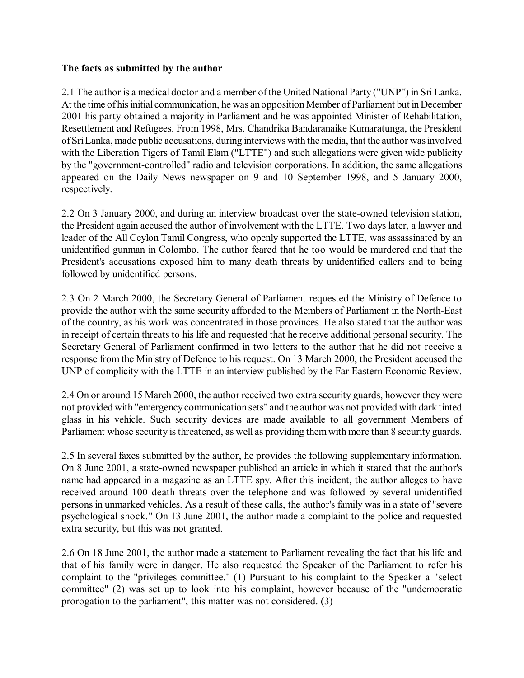#### **The facts as submitted by the author**

2.1 The author is a medical doctor and a member of the United National Party ("UNP") in Sri Lanka. At the time of his initial communication, he was an opposition Member of Parliament but in December 2001 his party obtained a majority in Parliament and he was appointed Minister of Rehabilitation, Resettlement and Refugees. From 1998, Mrs. Chandrika Bandaranaike Kumaratunga, the President of Sri Lanka, made public accusations, during interviews with the media, that the author was involved with the Liberation Tigers of Tamil Elam ("LTTE") and such allegations were given wide publicity by the "government-controlled" radio and television corporations. In addition, the same allegations appeared on the Daily News newspaper on 9 and 10 September 1998, and 5 January 2000, respectively.

2.2 On 3 January 2000, and during an interview broadcast over the state-owned television station, the President again accused the author of involvement with the LTTE. Two days later, a lawyer and leader of the All Ceylon Tamil Congress, who openly supported the LTTE, was assassinated by an unidentified gunman in Colombo. The author feared that he too would be murdered and that the President's accusations exposed him to many death threats by unidentified callers and to being followed by unidentified persons.

2.3 On 2 March 2000, the Secretary General of Parliament requested the Ministry of Defence to provide the author with the same security afforded to the Members of Parliament in the North-East of the country, as his work was concentrated in those provinces. He also stated that the author was in receipt of certain threats to his life and requested that he receive additional personal security. The Secretary General of Parliament confirmed in two letters to the author that he did not receive a response from the Ministry of Defence to his request. On 13 March 2000, the President accused the UNP of complicity with the LTTE in an interview published by the Far Eastern Economic Review.

2.4 On or around 15 March 2000, the author received two extra security guards, however they were not provided with "emergency communication sets" and the author was not provided with dark tinted glass in his vehicle. Such security devices are made available to all government Members of Parliament whose security is threatened, as well as providing them with more than 8 security guards.

2.5 In several faxes submitted by the author, he provides the following supplementary information. On 8 June 2001, a state-owned newspaper published an article in which it stated that the author's name had appeared in a magazine as an LTTE spy. After this incident, the author alleges to have received around 100 death threats over the telephone and was followed by several unidentified persons in unmarked vehicles. As a result of these calls, the author's family was in a state of "severe psychological shock." On 13 June 2001, the author made a complaint to the police and requested extra security, but this was not granted.

2.6 On 18 June 2001, the author made a statement to Parliament revealing the fact that his life and that of his family were in danger. He also requested the Speaker of the Parliament to refer his complaint to the "privileges committee." (1) Pursuant to his complaint to the Speaker a "select committee" (2) was set up to look into his complaint, however because of the "undemocratic prorogation to the parliament", this matter was not considered. (3)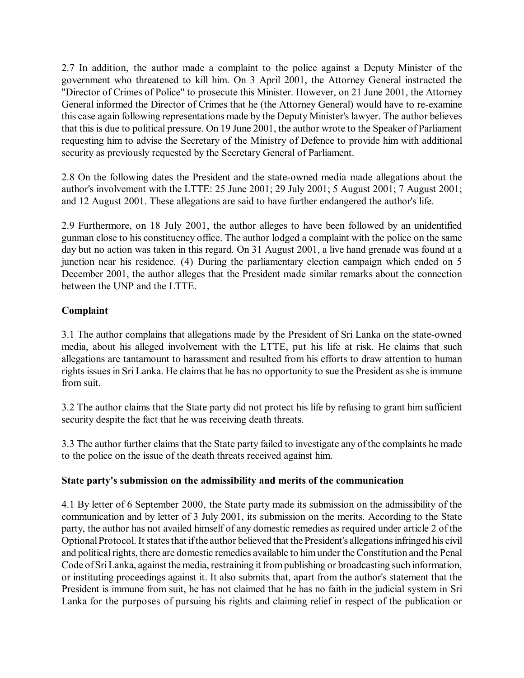2.7 In addition, the author made a complaint to the police against a Deputy Minister of the government who threatened to kill him. On 3 April 2001, the Attorney General instructed the "Director of Crimes of Police" to prosecute this Minister. However, on 21 June 2001, the Attorney General informed the Director of Crimes that he (the Attorney General) would have to re-examine this case again following representations made by the Deputy Minister's lawyer. The author believes that this is due to political pressure. On 19 June 2001, the author wrote to the Speaker of Parliament requesting him to advise the Secretary of the Ministry of Defence to provide him with additional security as previously requested by the Secretary General of Parliament.

2.8 On the following dates the President and the state-owned media made allegations about the author's involvement with the LTTE: 25 June 2001; 29 July 2001; 5 August 2001; 7 August 2001; and 12 August 2001. These allegations are said to have further endangered the author's life.

2.9 Furthermore, on 18 July 2001, the author alleges to have been followed by an unidentified gunman close to his constituency office. The author lodged a complaint with the police on the same day but no action was taken in this regard. On 31 August 2001, a live hand grenade was found at a junction near his residence. (4) During the parliamentary election campaign which ended on 5 December 2001, the author alleges that the President made similar remarks about the connection between the UNP and the LTTE.

# **Complaint**

3.1 The author complains that allegations made by the President of Sri Lanka on the state-owned media, about his alleged involvement with the LTTE, put his life at risk. He claims that such allegations are tantamount to harassment and resulted from his efforts to draw attention to human rights issues in Sri Lanka. He claims that he has no opportunity to sue the President as she is immune from suit.

3.2 The author claims that the State party did not protect his life by refusing to grant him sufficient security despite the fact that he was receiving death threats.

3.3 The author further claims that the State party failed to investigate any of the complaints he made to the police on the issue of the death threats received against him.

## **State party's submission on the admissibility and merits of the communication**

4.1 By letter of 6 September 2000, the State party made its submission on the admissibility of the communication and by letter of 3 July 2001, its submission on the merits. According to the State party, the author has not availed himself of any domestic remedies as required under article 2 of the Optional Protocol. It states that if the author believed that the President's allegations infringed his civil and political rights, there are domestic remedies available to him under the Constitution and the Penal Code of Sri Lanka, against the media, restraining it from publishing or broadcasting such information, or instituting proceedings against it. It also submits that, apart from the author's statement that the President is immune from suit, he has not claimed that he has no faith in the judicial system in Sri Lanka for the purposes of pursuing his rights and claiming relief in respect of the publication or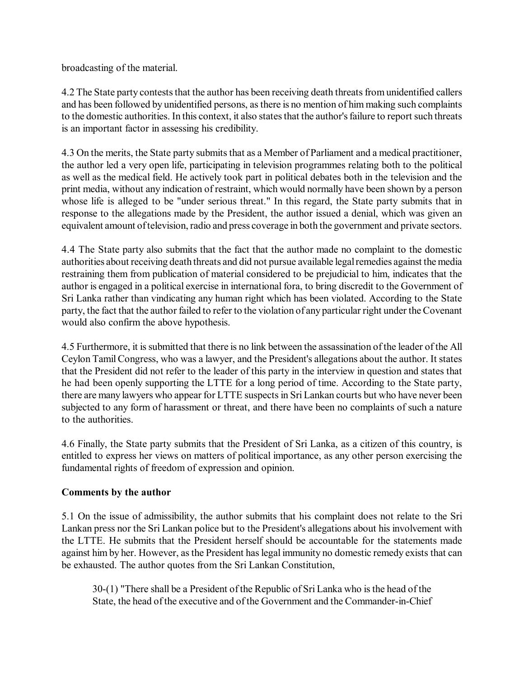broadcasting of the material.

4.2 The State party contests that the author has been receiving death threats from unidentified callers and has been followed by unidentified persons, as there is no mention of him making such complaints to the domestic authorities. In this context, it also states that the author's failure to report such threats is an important factor in assessing his credibility.

4.3 On the merits, the State party submits that as a Member of Parliament and a medical practitioner, the author led a very open life, participating in television programmes relating both to the political as well as the medical field. He actively took part in political debates both in the television and the print media, without any indication of restraint, which would normally have been shown by a person whose life is alleged to be "under serious threat." In this regard, the State party submits that in response to the allegations made by the President, the author issued a denial, which was given an equivalent amount of television, radio and press coverage in both the government and private sectors.

4.4 The State party also submits that the fact that the author made no complaint to the domestic authorities about receiving death threats and did not pursue available legal remedies against the media restraining them from publication of material considered to be prejudicial to him, indicates that the author is engaged in a political exercise in international fora, to bring discredit to the Government of Sri Lanka rather than vindicating any human right which has been violated. According to the State party, the fact that the author failed to refer to the violation of any particular right under the Covenant would also confirm the above hypothesis.

4.5 Furthermore, it is submitted that there is no link between the assassination of the leader of the All Ceylon Tamil Congress, who was a lawyer, and the President's allegations about the author. It states that the President did not refer to the leader of this party in the interview in question and states that he had been openly supporting the LTTE for a long period of time. According to the State party, there are many lawyers who appear for LTTE suspects in Sri Lankan courts but who have never been subjected to any form of harassment or threat, and there have been no complaints of such a nature to the authorities.

4.6 Finally, the State party submits that the President of Sri Lanka, as a citizen of this country, is entitled to express her views on matters of political importance, as any other person exercising the fundamental rights of freedom of expression and opinion.

## **Comments by the author**

5.1 On the issue of admissibility, the author submits that his complaint does not relate to the Sri Lankan press nor the Sri Lankan police but to the President's allegations about his involvement with the LTTE. He submits that the President herself should be accountable for the statements made against him by her. However, as the President has legal immunity no domestic remedy exists that can be exhausted. The author quotes from the Sri Lankan Constitution,

30-(1) "There shall be a President of the Republic of Sri Lanka who is the head of the State, the head of the executive and of the Government and the Commander-in-Chief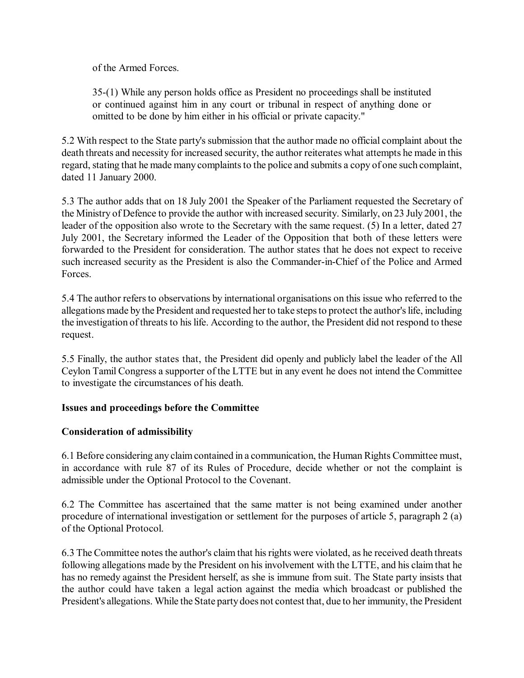of the Armed Forces.

35-(1) While any person holds office as President no proceedings shall be instituted or continued against him in any court or tribunal in respect of anything done or omitted to be done by him either in his official or private capacity."

5.2 With respect to the State party's submission that the author made no official complaint about the death threats and necessity for increased security, the author reiterates what attempts he made in this regard, stating that he made many complaints to the police and submits a copy of one such complaint, dated 11 January 2000.

5.3 The author adds that on 18 July 2001 the Speaker of the Parliament requested the Secretary of the Ministry of Defence to provide the author with increased security. Similarly, on 23 July 2001, the leader of the opposition also wrote to the Secretary with the same request. (5) In a letter, dated 27 July 2001, the Secretary informed the Leader of the Opposition that both of these letters were forwarded to the President for consideration. The author states that he does not expect to receive such increased security as the President is also the Commander-in-Chief of the Police and Armed Forces.

5.4 The author refers to observations by international organisations on this issue who referred to the allegations made by the President and requested her to take steps to protect the author's life, including the investigation of threats to his life. According to the author, the President did not respond to these request.

5.5 Finally, the author states that, the President did openly and publicly label the leader of the All Ceylon Tamil Congress a supporter of the LTTE but in any event he does not intend the Committee to investigate the circumstances of his death.

## **Issues and proceedings before the Committee**

# **Consideration of admissibility**

6.1 Before considering any claim contained in a communication, the Human Rights Committee must, in accordance with rule 87 of its Rules of Procedure, decide whether or not the complaint is admissible under the Optional Protocol to the Covenant.

6.2 The Committee has ascertained that the same matter is not being examined under another procedure of international investigation or settlement for the purposes of article 5, paragraph 2 (a) of the Optional Protocol.

6.3 The Committee notes the author's claim that his rights were violated, as he received death threats following allegations made by the President on his involvement with the LTTE, and his claim that he has no remedy against the President herself, as she is immune from suit. The State party insists that the author could have taken a legal action against the media which broadcast or published the President's allegations. While the State party does not contest that, due to her immunity, the President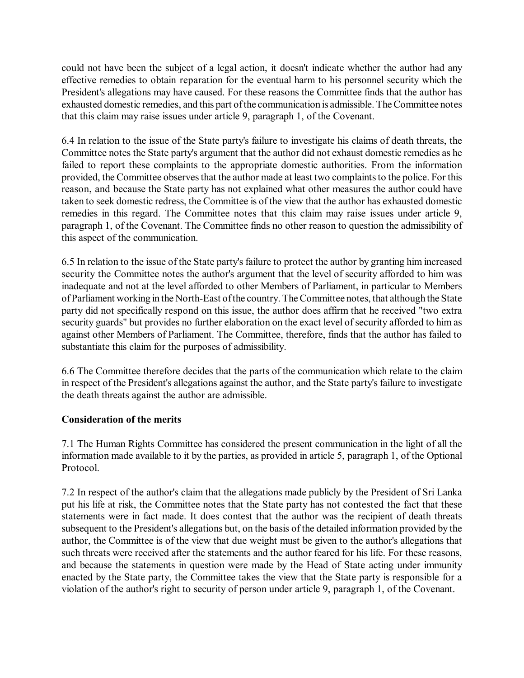could not have been the subject of a legal action, it doesn't indicate whether the author had any effective remedies to obtain reparation for the eventual harm to his personnel security which the President's allegations may have caused. For these reasons the Committee finds that the author has exhausted domestic remedies, and this part of the communication is admissible. The Committee notes that this claim may raise issues under article 9, paragraph 1, of the Covenant.

6.4 In relation to the issue of the State party's failure to investigate his claims of death threats, the Committee notes the State party's argument that the author did not exhaust domestic remedies as he failed to report these complaints to the appropriate domestic authorities. From the information provided, the Committee observes that the author made at least two complaints to the police. For this reason, and because the State party has not explained what other measures the author could have taken to seek domestic redress, the Committee is of the view that the author has exhausted domestic remedies in this regard. The Committee notes that this claim may raise issues under article 9, paragraph 1, of the Covenant. The Committee finds no other reason to question the admissibility of this aspect of the communication.

6.5 In relation to the issue of the State party's failure to protect the author by granting him increased security the Committee notes the author's argument that the level of security afforded to him was inadequate and not at the level afforded to other Members of Parliament, in particular to Members of Parliament working in the North-East of the country. The Committee notes, that although the State party did not specifically respond on this issue, the author does affirm that he received "two extra security guards" but provides no further elaboration on the exact level of security afforded to him as against other Members of Parliament. The Committee, therefore, finds that the author has failed to substantiate this claim for the purposes of admissibility.

6.6 The Committee therefore decides that the parts of the communication which relate to the claim in respect of the President's allegations against the author, and the State party's failure to investigate the death threats against the author are admissible.

## **Consideration of the merits**

7.1 The Human Rights Committee has considered the present communication in the light of all the information made available to it by the parties, as provided in article 5, paragraph 1, of the Optional Protocol.

7.2 In respect of the author's claim that the allegations made publicly by the President of Sri Lanka put his life at risk, the Committee notes that the State party has not contested the fact that these statements were in fact made. It does contest that the author was the recipient of death threats subsequent to the President's allegations but, on the basis of the detailed information provided by the author, the Committee is of the view that due weight must be given to the author's allegations that such threats were received after the statements and the author feared for his life. For these reasons, and because the statements in question were made by the Head of State acting under immunity enacted by the State party, the Committee takes the view that the State party is responsible for a violation of the author's right to security of person under article 9, paragraph 1, of the Covenant.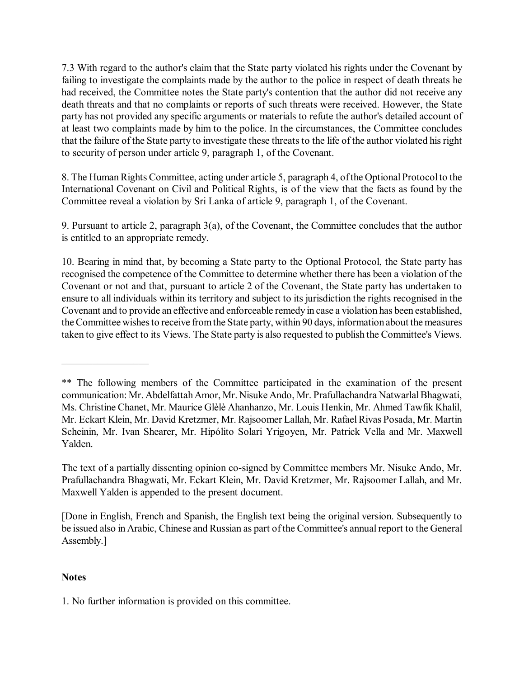7.3 With regard to the author's claim that the State party violated his rights under the Covenant by failing to investigate the complaints made by the author to the police in respect of death threats he had received, the Committee notes the State party's contention that the author did not receive any death threats and that no complaints or reports of such threats were received. However, the State party has not provided any specific arguments or materials to refute the author's detailed account of at least two complaints made by him to the police. In the circumstances, the Committee concludes that the failure of the State party to investigate these threats to the life of the author violated his right to security of person under article 9, paragraph 1, of the Covenant.

8. The Human Rights Committee, acting under article 5, paragraph 4, of the Optional Protocol to the International Covenant on Civil and Political Rights, is of the view that the facts as found by the Committee reveal a violation by Sri Lanka of article 9, paragraph 1, of the Covenant.

9. Pursuant to article 2, paragraph 3(a), of the Covenant, the Committee concludes that the author is entitled to an appropriate remedy.

10. Bearing in mind that, by becoming a State party to the Optional Protocol, the State party has recognised the competence of the Committee to determine whether there has been a violation of the Covenant or not and that, pursuant to article 2 of the Covenant, the State party has undertaken to ensure to all individuals within its territory and subject to its jurisdiction the rights recognised in the Covenant and to provide an effective and enforceable remedy in case a violation has been established, the Committee wishes to receive from the State party, within 90 days, information about the measures taken to give effect to its Views. The State party is also requested to publish the Committee's Views.

The text of a partially dissenting opinion co-signed by Committee members Mr. Nisuke Ando, Mr. Prafullachandra Bhagwati, Mr. Eckart Klein, Mr. David Kretzmer, Mr. Rajsoomer Lallah, and Mr. Maxwell Yalden is appended to the present document.

[Done in English, French and Spanish, the English text being the original version. Subsequently to be issued also in Arabic, Chinese and Russian as part of the Committee's annual report to the General Assembly.]

# **Notes**

 $\frac{1}{2}$ 

1. No further information is provided on this committee.

<sup>\*\*</sup> The following members of the Committee participated in the examination of the present communication: Mr. Abdelfattah Amor, Mr. Nisuke Ando, Mr. Prafullachandra Natwarlal Bhagwati, Ms. Christine Chanet, Mr. Maurice Glèlè Ahanhanzo, Mr. Louis Henkin, Mr. Ahmed Tawfik Khalil, Mr. Eckart Klein, Mr. David Kretzmer, Mr. Rajsoomer Lallah, Mr. Rafael Rivas Posada, Mr. Martin Scheinin, Mr. Ivan Shearer, Mr. Hipólito Solari Yrigoyen, Mr. Patrick Vella and Mr. Maxwell Yalden.